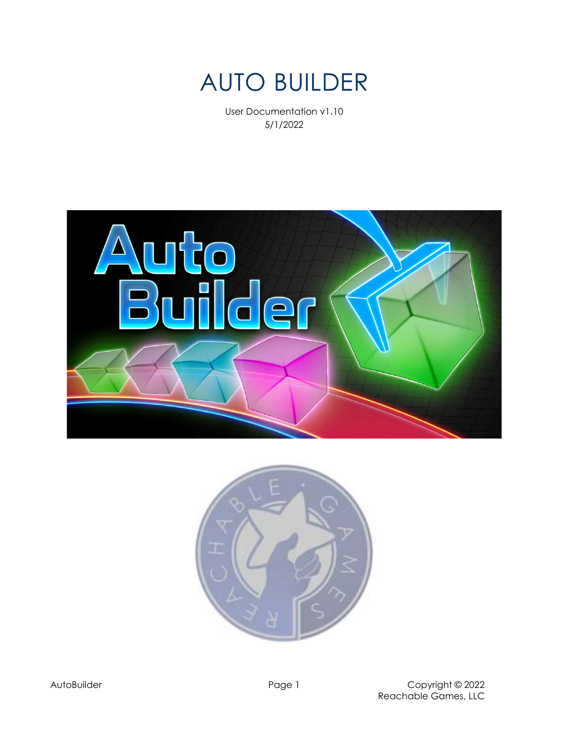

User Documentation v1.10 5/1/2022



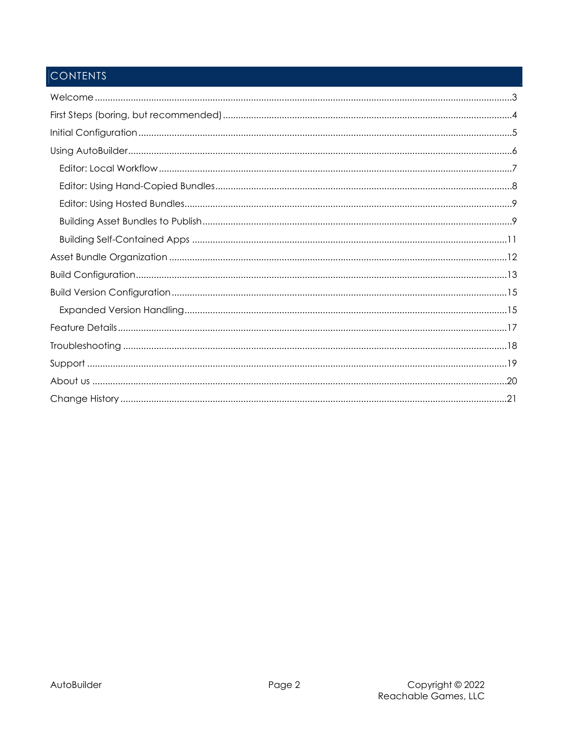# **CONTENTS**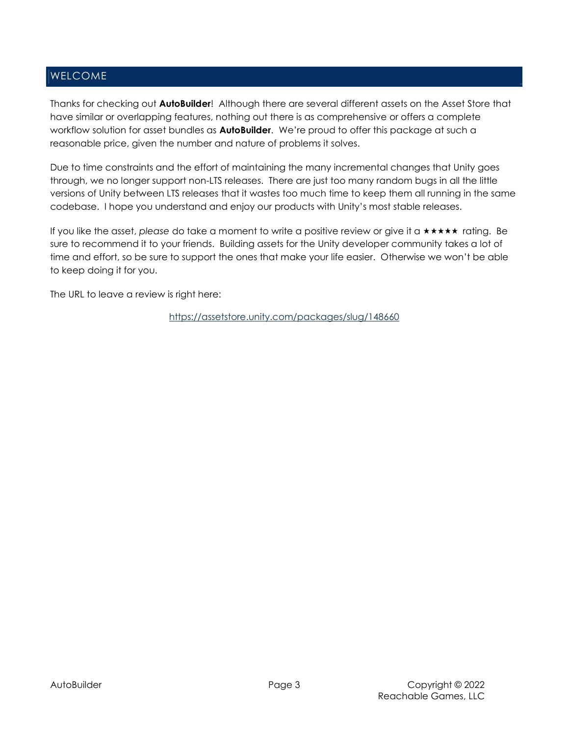## WELCOME

Thanks for checking out **AutoBuilder!** Although there are several different assets on the Asset Store that have similar or overlapping features, nothing out there is as comprehensive or offers a complete workflow solution for asset bundles as **AutoBuilder**. We're proud to offer this package at such a reasonable price, given the number and nature of problems it solves.

Due to time constraints and the effort of maintaining the many incremental changes that Unity goes through, we no longer support non-LTS releases. There are just too many random bugs in all the little versions of Unity between LTS releases that it wastes too much time to keep them all running in the same codebase. I hope you understand and enjoy our products with Unity's most stable releases.

If you like the asset, please do take a moment to write a positive review or give it a  $\star \star \star \star \star$  rating. Be sure to recommend it to your friends. Building assets for the Unity developer community takes a lot of time and effort, so be sure to support the ones that make your life easier. Otherwise we won't be able to keep doing it for you.

The URL to leave a review is right here:

https://assetstore.unity.com/packages/slug/148660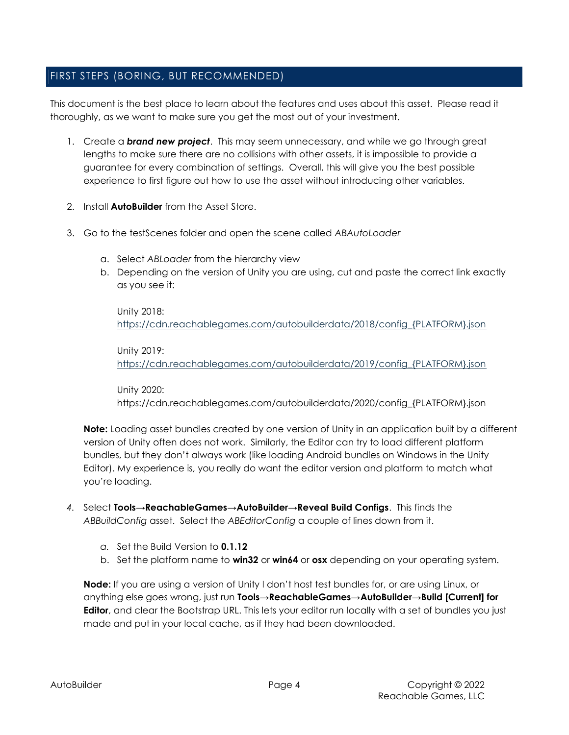## FIRST STEPS (BORING, BUT RECOMMENDED)

This document is the best place to learn about the features and uses about this asset. Please read it thoroughly, as we want to make sure you get the most out of your investment.

- 1. Create a **brand new project**. This may seem unnecessary, and while we go through great lengths to make sure there are no collisions with other assets, it is impossible to provide a guarantee for every combination of settings. Overall, this will give you the best possible experience to first figure out how to use the asset without introducing other variables.
- 2. Install **AutoBuilder** from the Asset Store.
- 3. Go to the testScenes folder and open the scene called ABAutoLoader
	- a. Select ABLoader from the hierarchy view
	- b. Depending on the version of Unity you are using, cut and paste the correct link exactly as you see it:

Unity 2018: https://cdn.reachablegames.com/autobuilderdata/2018/config\_{PLATFORM}.json

Unity 2019: https://cdn.reachablegames.com/autobuilderdata/2019/config\_{PLATFORM}.json

Unity 2020: https://cdn.reachablegames.com/autobuilderdata/2020/config\_{PLATFORM}.json

Note: Loading asset bundles created by one version of Unity in an application built by a different version of Unity often does not work. Similarly, the Editor can try to load different platform bundles, but they don't always work (like loading Android bundles on Windows in the Unity Editor). My experience is, you really do want the editor version and platform to match what you're loading.

- 4. Select Tools→ReachableGames→AutoBuilder→Reveal Build Configs. This finds the ABBuildConfig asset. Select the ABEditorConfig a couple of lines down from it.
	- a. Set the Build Version to 0.1.12
	- b. Set the platform name to **win32** or **win64** or **osx** depending on your operating system.

**Node:** If you are using a version of Unity I don't host test bundles for, or are using Linux, or anything else goes wrong, just run Tools→ReachableGames→AutoBuilder→Build [Current] for Editor, and clear the Bootstrap URL. This lets your editor run locally with a set of bundles you just made and put in your local cache, as if they had been downloaded.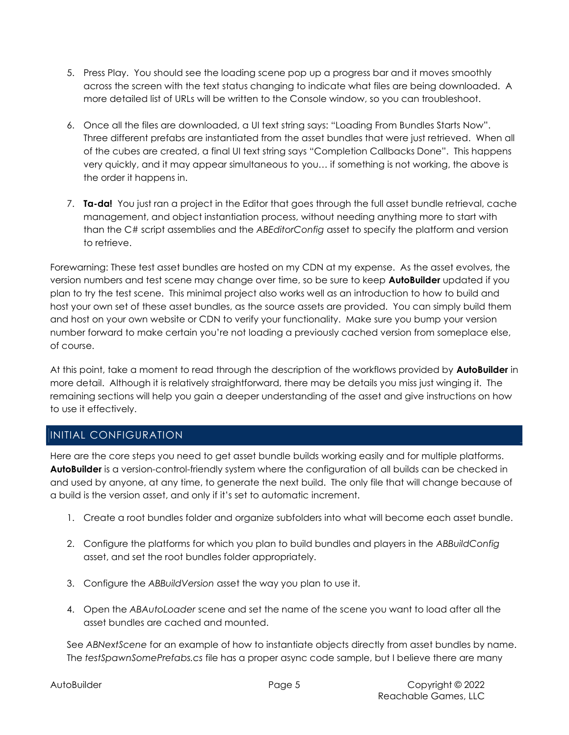- 5. Press Play. You should see the loading scene pop up a progress bar and it moves smoothly across the screen with the text status changing to indicate what files are being downloaded. A more detailed list of URLs will be written to the Console window, so you can troubleshoot.
- 6. Once all the files are downloaded, a UI text string says: "Loading From Bundles Starts Now". Three different prefabs are instantiated from the asset bundles that were just retrieved. When all of the cubes are created, a final UI text string says "Completion Callbacks Done". This happens very quickly, and it may appear simultaneous to you… if something is not working, the above is the order it happens in.
- 7. Ta-da! You just ran a project in the Editor that goes through the full asset bundle retrieval, cache management, and object instantiation process, without needing anything more to start with than the C# script assemblies and the ABEditorConfig asset to specify the platform and version to retrieve.

Forewarning: These test asset bundles are hosted on my CDN at my expense. As the asset evolves, the version numbers and test scene may change over time, so be sure to keep **AutoBuilder** updated if you plan to try the test scene. This minimal project also works well as an introduction to how to build and host your own set of these asset bundles, as the source assets are provided. You can simply build them and host on your own website or CDN to verify your functionality. Make sure you bump your version number forward to make certain you're not loading a previously cached version from someplace else, of course.

At this point, take a moment to read through the description of the workflows provided by **AutoBuilder** in more detail. Although it is relatively straightforward, there may be details you miss just winging it. The remaining sections will help you gain a deeper understanding of the asset and give instructions on how to use it effectively.

## INITIAL CONFIGURATION

Here are the core steps you need to get asset bundle builds working easily and for multiple platforms. AutoBuilder is a version-control-friendly system where the configuration of all builds can be checked in and used by anyone, at any time, to generate the next build. The only file that will change because of a build is the version asset, and only if it's set to automatic increment.

- 1. Create a root bundles folder and organize subfolders into what will become each asset bundle.
- 2. Configure the platforms for which you plan to build bundles and players in the ABBuildConfig asset, and set the root bundles folder appropriately.
- 3. Configure the ABBuildVersion asset the way you plan to use it.
- 4. Open the ABAutoLoader scene and set the name of the scene you want to load after all the asset bundles are cached and mounted.

See ABNextScene for an example of how to instantiate objects directly from asset bundles by name. The testSpawnSomePrefabs.cs file has a proper async code sample, but I believe there are many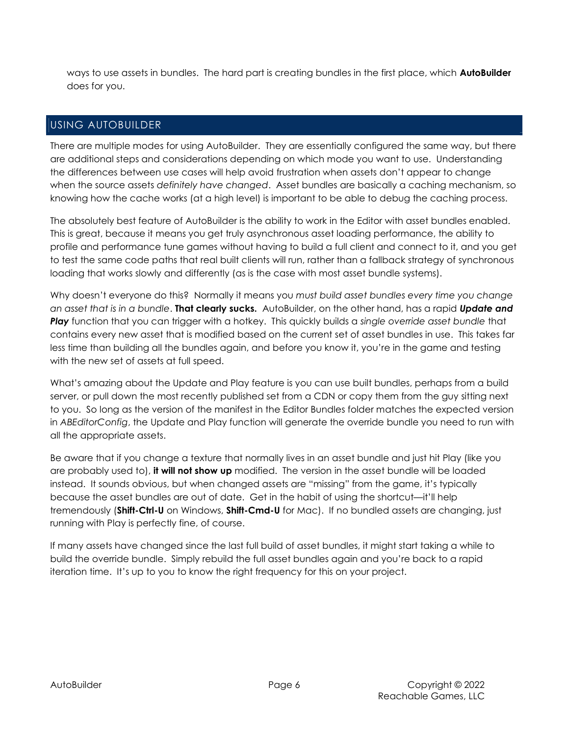ways to use assets in bundles. The hard part is creating bundles in the first place, which **AutoBuilder** does for you.

## USING AUTOBUILDER

There are multiple modes for using AutoBuilder. They are essentially configured the same way, but there are additional steps and considerations depending on which mode you want to use. Understanding the differences between use cases will help avoid frustration when assets don't appear to change when the source assets definitely have changed. Asset bundles are basically a caching mechanism, so knowing how the cache works (at a high level) is important to be able to debug the caching process.

The absolutely best feature of AutoBuilder is the ability to work in the Editor with asset bundles enabled. This is great, because it means you get truly asynchronous asset loading performance, the ability to profile and performance tune games without having to build a full client and connect to it, and you get to test the same code paths that real built clients will run, rather than a fallback strategy of synchronous loading that works slowly and differently (as is the case with most asset bundle systems).

Why doesn't everyone do this? Normally it means you must build asset bundles every time you change an asset that is in a bundle. **That clearly sucks.** AutoBuilder, on the other hand, has a rapid **Update and** Play function that you can trigger with a hotkey. This quickly builds a single override asset bundle that contains every new asset that is modified based on the current set of asset bundles in use. This takes far less time than building all the bundles again, and before you know it, you're in the game and testing with the new set of assets at full speed.

What's amazing about the Update and Play feature is you can use built bundles, perhaps from a build server, or pull down the most recently published set from a CDN or copy them from the guy sitting next to you. So long as the version of the manifest in the Editor Bundles folder matches the expected version in ABEditorConfig, the Update and Play function will generate the override bundle you need to run with all the appropriate assets.

Be aware that if you change a texture that normally lives in an asset bundle and just hit Play (like you are probably used to), it will not show up modified. The version in the asset bundle will be loaded instead. It sounds obvious, but when changed assets are "missing" from the game, it's typically because the asset bundles are out of date. Get in the habit of using the shortcut—it'll help tremendously (Shift-Ctrl-U on Windows, Shift-Cmd-U for Mac). If no bundled assets are changing, just running with Play is perfectly fine, of course.

If many assets have changed since the last full build of asset bundles, it might start taking a while to build the override bundle. Simply rebuild the full asset bundles again and you're back to a rapid iteration time. It's up to you to know the right frequency for this on your project.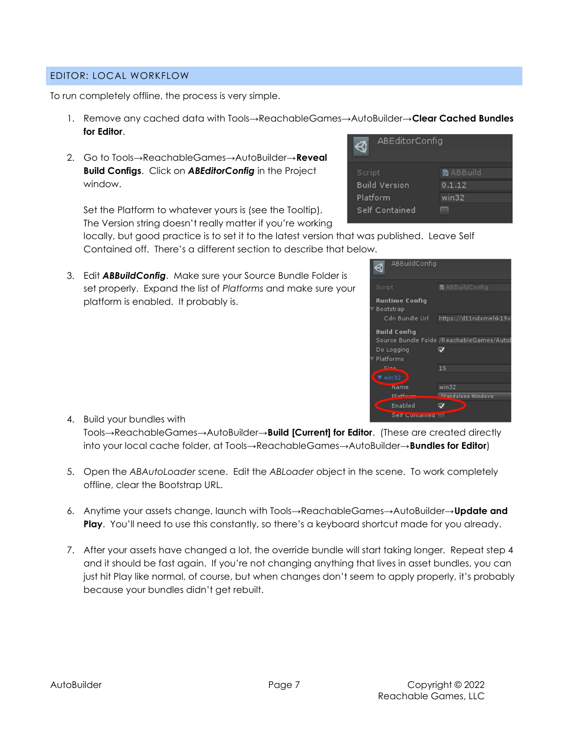#### EDITOR: LOCAL WORKFLOW

To run completely offline, the process is very simple.

- 1. Remove any cached data with Tools→ReachableGames→AutoBuilder→Clear Cached Bundles for Editor.
- 2. Go to Tools→ReachableGames→AutoBuilder→Reveal Build Configs. Click on **ABEditorConfig** in the Project window.

Set the Platform to whatever yours is (see the Tooltip). The Version string doesn't really matter if you're working



locally, but good practice is to set it to the latest version that was published. Leave Self Contained off. There's a different section to describe that below.

3. Edit **ABBuildConfig**. Make sure your Source Bundle Folder is set properly. Expand the list of Platforms and make sure your platform is enabled. It probably is.

| ABBuildConfig               |                                           |
|-----------------------------|-------------------------------------------|
| Script                      | <b>Q</b> ABBuildConfig                    |
| Runtime Config<br>Bootstrap |                                           |
| Cdn Bundle Url              | https://d11ndxmehk19v                     |
| Build Config                |                                           |
|                             | Source Bundle Folde /ReachableGames/AutoE |
| Do Logging                  |                                           |
| Platforms                   |                                           |
| المصالح                     | 15                                        |
| win32                       |                                           |
| Name                        | win32                                     |
| <b>Distinui</b>             | <b>Standalone Windows</b>                 |
| Enabled                     |                                           |
| Self Gontained              |                                           |

- 4. Build your bundles with Tools→ReachableGames→AutoBuilder→**Build [Current] for Editor**. (These are created directly into your local cache folder, at Tools→ReachableGames→AutoBuilder→**Bundles for Editor**)
- 5. Open the ABAutoLoader scene. Edit the ABLoader object in the scene. To work completely offline, clear the Bootstrap URL.
- 6. Anytime your assets change, launch with Tools→ReachableGames→AutoBuilder→**Update and Play.** You'll need to use this constantly, so there's a keyboard shortcut made for you already.
- 7. After your assets have changed a lot, the override bundle will start taking longer. Repeat step 4 and it should be fast again. If you're not changing anything that lives in asset bundles, you can just hit Play like normal, of course, but when changes don't seem to apply properly, it's probably because your bundles didn't get rebuilt.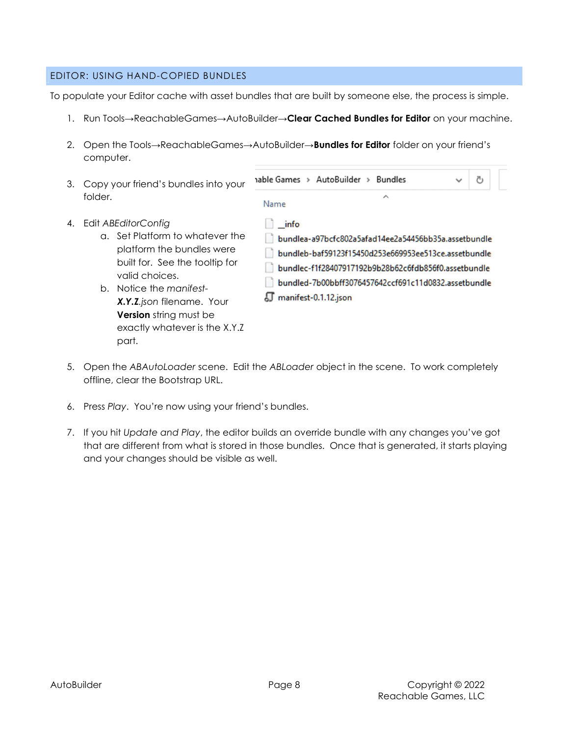#### EDITOR: USING HAND-COPIED BUNDLES

To populate your Editor cache with asset bundles that are built by someone else, the process is simple.

- 1. Run Tools→ReachableGames→AutoBuilder→Clear Cached Bundles for Editor on your machine.
- 2. Open the Tools→ReachableGames→AutoBuilder→**Bundles for Editor** folder on your friend's computer.
- 3. Copy your friend's bundles into your folder.
- 4. Edit ABEditorConfig
	- a. Set Platform to whatever the platform the bundles were built for. See the tooltip for valid choices.
	- b. Notice the manifest-X.Y.Z.json filename. Your **Version** string must be exactly whatever is the X.Y.Z part.

 $\overline{\phantom{0}}$ Name  $\ln$  info bundlea-a97bcfc802a5afad14ee2a54456bb35a.assetbundle bundleb-baf59123f15450d253e669953ee513ce.assetbundle

- bundlec-f1f28407917192b9b28b62c6fdb856f0.assetbundle bundled-7b00bbff3076457642ccf691c11d0832.assetbundle
- manifest-0.1.12.json

nable Games > AutoBuilder > Bundles

- 5. Open the ABAutoLoader scene. Edit the ABLoader object in the scene. To work completely offline, clear the Bootstrap URL.
- 6. Press Play. You're now using your friend's bundles.
- 7. If you hit Update and Play, the editor builds an override bundle with any changes you've got that are different from what is stored in those bundles. Once that is generated, it starts playing and your changes should be visible as well.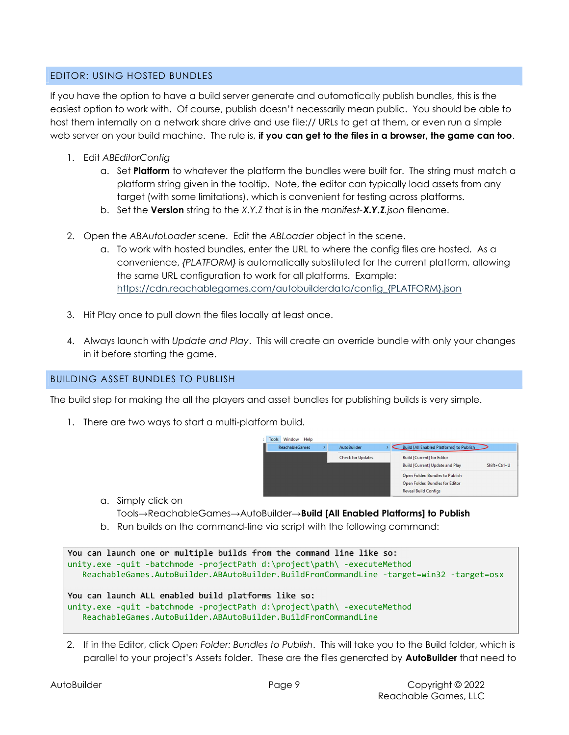### EDITOR: USING HOSTED BUNDLES

If you have the option to have a build server generate and automatically publish bundles, this is the easiest option to work with. Of course, publish doesn't necessarily mean public. You should be able to host them internally on a network share drive and use file:// URLs to get at them, or even run a simple web server on your build machine. The rule is, if you can get to the files in a browser, the game can too.

- 1. Edit ABEditorConfig
	- a. Set **Platform** to whatever the platform the bundles were built for. The string must match a platform string given in the tooltip. Note, the editor can typically load assets from any target (with some limitations), which is convenient for testing across platforms.
	- b. Set the **Version** string to the X.Y.Z that is in the manifest-**X.Y.Z**.json filename.
- 2. Open the ABAutoLoader scene. Edit the ABLoader object in the scene.
	- a. To work with hosted bundles, enter the URL to where the config files are hosted. As a convenience, {PLATFORM} is automatically substituted for the current platform, allowing the same URL configuration to work for all platforms. Example: https://cdn.reachablegames.com/autobuilderdata/config\_{PLATFORM}.json
- 3. Hit Play once to pull down the files locally at least once.
- 4. Always launch with Update and Play. This will create an override bundle with only your changes in it before starting the game.

### BUILDING ASSET BUNDLES TO PUBLISH

The build step for making the all the players and asset bundles for publishing builds is very simple.

1. There are two ways to start a multi-platform build.

| <b>ReachableGames</b> | <b>AutoBuilder</b>       | <b>Build [All Enabled Platforms] to Publish</b>        |
|-----------------------|--------------------------|--------------------------------------------------------|
|                       | <b>Check for Updates</b> | <b>Build [Current] for Editor</b>                      |
|                       |                          | <b>Build [Current] Update and Play</b><br>Shift+Ctrl+U |
|                       |                          | Open Folder: Bundles to Publish                        |
|                       |                          | Open Folder: Bundles for Editor                        |
|                       |                          | <b>Reveal Build Configs</b>                            |

a. Simply click on

Tools→ReachableGames→AutoBuilder→Build [All Enabled Platforms] to Publish

b. Run builds on the command-line via script with the following command:

```
You can launch one or multiple builds from the command line like so: 
unity.exe -quit -batchmode -projectPath d:\project\path\ -executeMethod 
    ReachableGames.AutoBuilder.ABAutoBuilder.BuildFromCommandLine -target=win32 -target=osx 
You can launch ALL enabled build platforms like so: 
unity.exe -quit -batchmode -projectPath d:\project\path\ -executeMethod 
    ReachableGames.AutoBuilder.ABAutoBuilder.BuildFromCommandLine
```
2. If in the Editor, click Open Folder: Bundles to Publish. This will take you to the Build folder, which is parallel to your project's Assets folder. These are the files generated by **AutoBuilder** that need to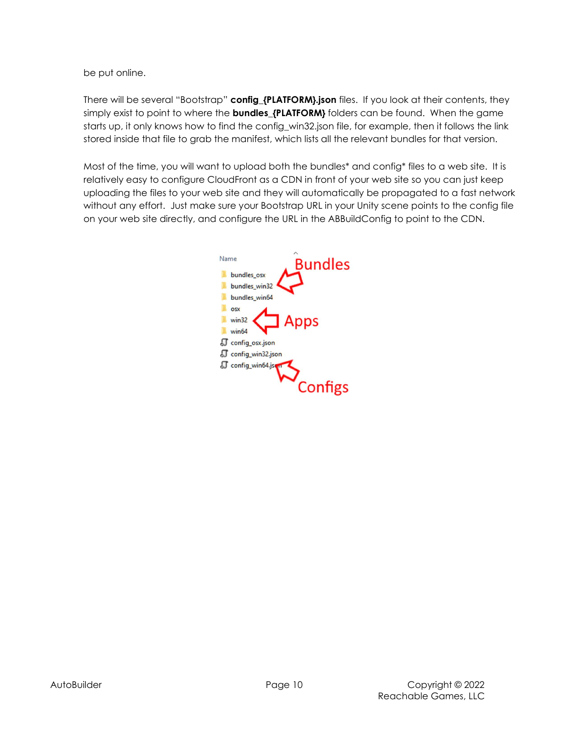be put online.

There will be several "Bootstrap" config\_{PLATFORM}.json files. If you look at their contents, they simply exist to point to where the **bundles\_{PLATFORM}** folders can be found. When the game starts up, it only knows how to find the config\_win32.json file, for example, then it follows the link stored inside that file to grab the manifest, which lists all the relevant bundles for that version.

Most of the time, you will want to upload both the bundles\* and config\* files to a web site. It is relatively easy to configure CloudFront as a CDN in front of your web site so you can just keep uploading the files to your web site and they will automatically be propagated to a fast network without any effort. Just make sure your Bootstrap URL in your Unity scene points to the config file on your web site directly, and configure the URL in the ABBuildConfig to point to the CDN.

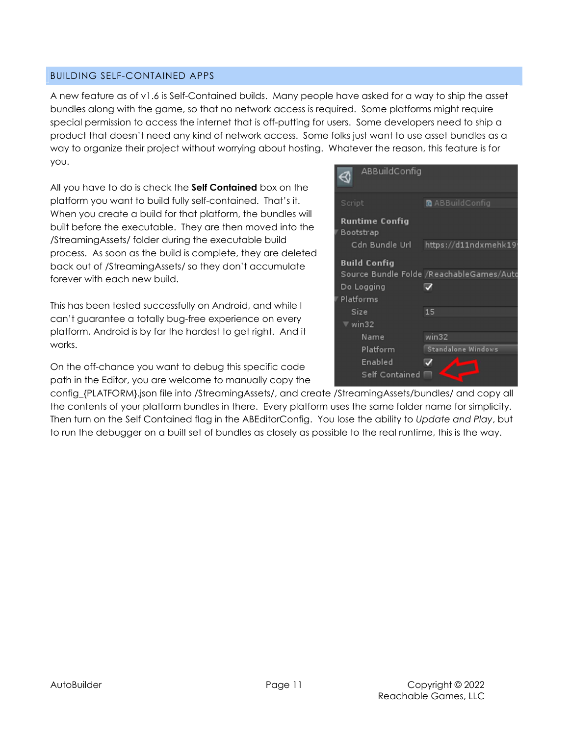#### BUILDING SELF-CONTAINED APPS

A new feature as of v1.6 is Self-Contained builds. Many people have asked for a way to ship the asset bundles along with the game, so that no network access is required. Some platforms might require special permission to access the internet that is off-putting for users. Some developers need to ship a product that doesn't need any kind of network access. Some folks just want to use asset bundles as a way to organize their project without worrying about hosting. Whatever the reason, this feature is for you.

All you have to do is check the **Self Contained** box on the platform you want to build fully self-contained. That's it. When you create a build for that platform, the bundles will built before the executable. They are then moved into the /StreamingAssets/ folder during the executable build process. As soon as the build is complete, they are deleted back out of /StreamingAssets/ so they don't accumulate forever with each new build.

This has been tested successfully on Android, and while I can't guarantee a totally bug-free experience on every platform, Android is by far the hardest to get right. And it works.

On the off-chance you want to debug this specific code path in the Editor, you are welcome to manually copy the



config\_{PLATFORM}.json file into /StreamingAssets/, and create /StreamingAssets/bundles/ and copy all the contents of your platform bundles in there. Every platform uses the same folder name for simplicity. Then turn on the Self Contained flag in the ABEditorConfig. You lose the ability to Update and Play, but to run the debugger on a built set of bundles as closely as possible to the real runtime, this is the way.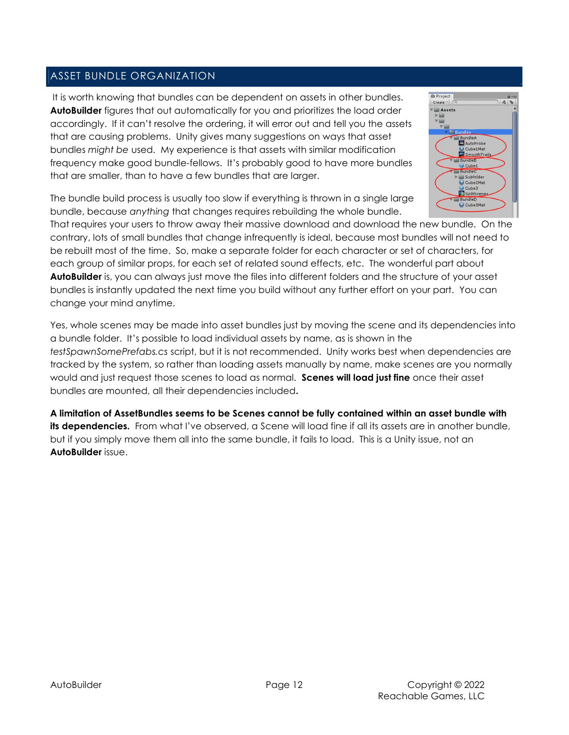## ASSET BUNDLE ORGANIZATION

 It is worth knowing that bundles can be dependent on assets in other bundles. **AutoBuilder** figures that out automatically for you and prioritizes the load order accordingly. If it can't resolve the ordering, it will error out and tell you the assets that are causing problems. Unity gives many suggestions on ways that asset bundles might be used. My experience is that assets with similar modification frequency make good bundle-fellows. It's probably good to have more bundles that are smaller, than to have a few bundles that are larger.



The bundle build process is usually too slow if everything is thrown in a single large bundle, because anything that changes requires rebuilding the whole bundle.

That requires your users to throw away their massive download and download the new bundle. On the contrary, lots of small bundles that change infrequently is ideal, because most bundles will not need to be rebuilt most of the time. So, make a separate folder for each character or set of characters, for each group of similar props, for each set of related sound effects, etc. The wonderful part about AutoBuilder is, you can always just move the files into different folders and the structure of your asset bundles is instantly updated the next time you build without any further effort on your part. You can change your mind anytime.

Yes, whole scenes may be made into asset bundles just by moving the scene and its dependencies into a bundle folder. It's possible to load individual assets by name, as is shown in the testSpawnSomePrefabs.cs script, but it is not recommended. Unity works best when dependencies are tracked by the system, so rather than loading assets manually by name, make scenes are you normally would and just request those scenes to load as normal. Scenes will load just fine once their asset bundles are mounted, all their dependencies included.

A limitation of AssetBundles seems to be Scenes cannot be fully contained within an asset bundle with its dependencies. From what I've observed, a Scene will load fine if all its assets are in another bundle, but if you simply move them all into the same bundle, it fails to load. This is a Unity issue, not an AutoBuilder issue.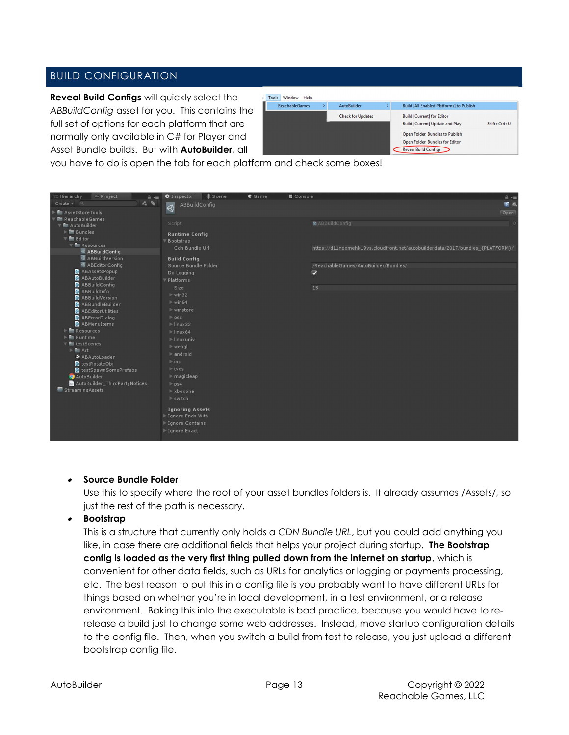## BUILD CONFIGURATION

Reveal Build Configs will quickly select the ABBuildConfig asset for you. This contains the full set of options for each platform that are normally only available in C# for Player and Asset Bundle builds. But with **AutoBuilder**, all

| Tools | Window<br>Help        |                          |  |                                                                                                   |                    |
|-------|-----------------------|--------------------------|--|---------------------------------------------------------------------------------------------------|--------------------|
|       | <b>ReachableGames</b> | AutoBuilder              |  | <b>Build [All Enabled Platforms] to Publish</b>                                                   |                    |
|       |                       | <b>Check for Updates</b> |  | <b>Build [Current] for Editor</b><br><b>Build [Current] Update and Play</b>                       | $Shift + Crit + U$ |
|       |                       |                          |  | Open Folder: Bundles to Publish<br>Open Folder: Bundles for Editor<br><b>Reveal Build Configs</b> |                    |

you have to do is open the tab for each platform and check some boxes!



#### . Source Bundle Folder

Use this to specify where the root of your asset bundles folders is. It already assumes /Assets/, so just the rest of the path is necessary.

#### . Bootstrap

This is a structure that currently only holds a CDN Bundle URL, but you could add anything you like, in case there are additional fields that helps your project during startup. The Bootstrap config is loaded as the very first thing pulled down from the internet on startup, which is convenient for other data fields, such as URLs for analytics or logging or payments processing, etc. The best reason to put this in a config file is you probably want to have different URLs for things based on whether you're in local development, in a test environment, or a release environment. Baking this into the executable is bad practice, because you would have to rerelease a build just to change some web addresses. Instead, move startup configuration details to the config file. Then, when you switch a build from test to release, you just upload a different bootstrap config file.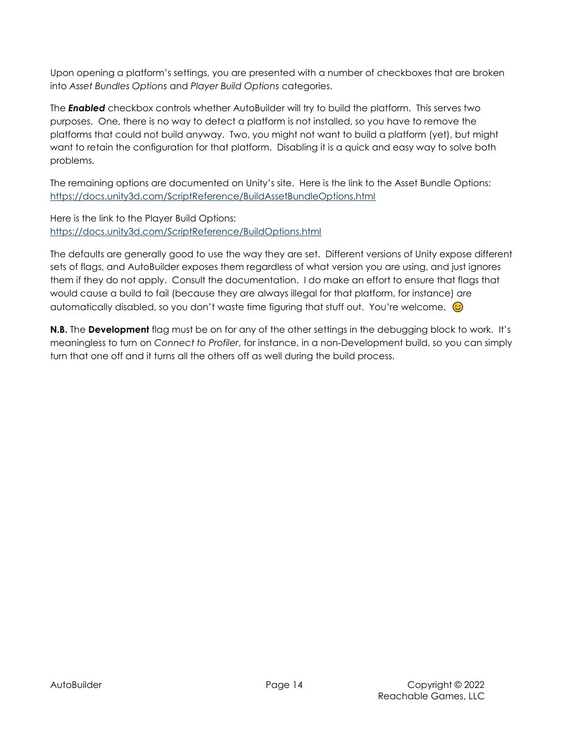Upon opening a platform's settings, you are presented with a number of checkboxes that are broken into Asset Bundles Options and Player Build Options categories.

The **Enabled** checkbox controls whether AutoBuilder will try to build the platform. This serves two purposes. One, there is no way to detect a platform is not installed, so you have to remove the platforms that could not build anyway. Two, you might not want to build a platform (yet), but might want to retain the configuration for that platform. Disabling it is a quick and easy way to solve both problems.

The remaining options are documented on Unity's site. Here is the link to the Asset Bundle Options: https://docs.unity3d.com/ScriptReference/BuildAssetBundleOptions.html

Here is the link to the Player Build Options: https://docs.unity3d.com/ScriptReference/BuildOptions.html

The defaults are generally good to use the way they are set. Different versions of Unity expose different sets of flags, and AutoBuilder exposes them regardless of what version you are using, and just ignores them if they do not apply. Consult the documentation. I do make an effort to ensure that flags that would cause a build to fail (because they are always illegal for that platform, for instance) are automatically disabled, so you don't waste time figuring that stuff out. You're welcome.  $\odot$ 

**N.B.** The **Development** flag must be on for any of the other settings in the debugging block to work. It's meaningless to turn on Connect to Profiler, for instance, in a non-Development build, so you can simply turn that one off and it turns all the others off as well during the build process.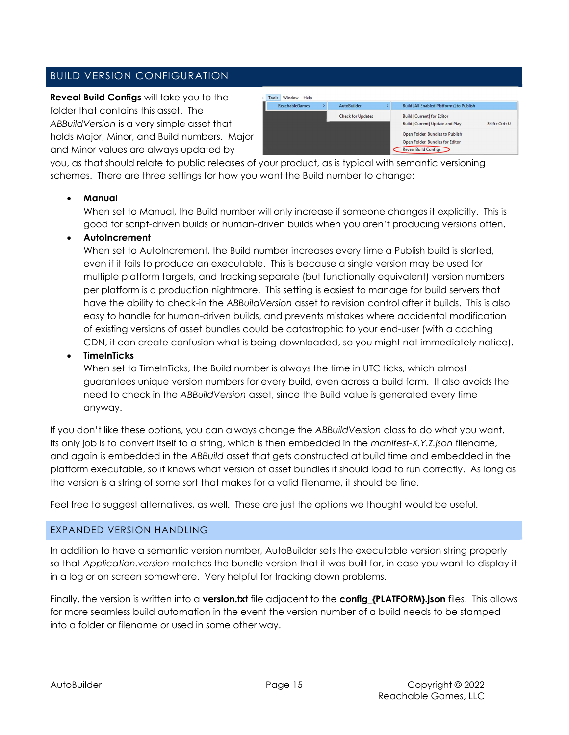## BUILD VERSION CONFIGURATION

Reveal Build Configs will take you to the folder that contains this asset. The ABBuildVersion is a very simple asset that holds Major, Minor, and Build numbers. Major and Minor values are always updated by

| Window<br>Help<br>Tools |                          |                                                                                                   |                    |
|-------------------------|--------------------------|---------------------------------------------------------------------------------------------------|--------------------|
| <b>ReachableGames</b>   | AutoBuilder              | <b>Build [All Enabled Platforms] to Publish</b>                                                   |                    |
|                         | <b>Check for Updates</b> | <b>Build [Current] for Editor</b><br><b>Build [Current] Update and Play</b>                       | $Shift + Crit + U$ |
|                         |                          | Open Folder: Bundles to Publish<br>Open Folder: Bundles for Editor<br><b>Reveal Build Configs</b> |                    |

you, as that should relate to public releases of your product, as is typical with semantic versioning schemes. There are three settings for how you want the Build number to change:

### Manual

When set to Manual, the Build number will only increase if someone changes it explicitly. This is good for script-driven builds or human-driven builds when you aren't producing versions often.

### AutoIncrement

When set to AutoIncrement, the Build number increases every time a Publish build is started, even if it fails to produce an executable. This is because a single version may be used for multiple platform targets, and tracking separate (but functionally equivalent) version numbers per platform is a production nightmare. This setting is easiest to manage for build servers that have the ability to check-in the ABBuildVersion asset to revision control after it builds. This is also easy to handle for human-driven builds, and prevents mistakes where accidental modification of existing versions of asset bundles could be catastrophic to your end-user (with a caching CDN, it can create confusion what is being downloaded, so you might not immediately notice).

#### TimeInTicks

When set to TimeInTicks, the Build number is always the time in UTC ticks, which almost guarantees unique version numbers for every build, even across a build farm. It also avoids the need to check in the ABBuildVersion asset, since the Build value is generated every time anyway.

If you don't like these options, you can always change the ABBuildVersion class to do what you want. Its only job is to convert itself to a string, which is then embedded in the manifest-X.Y.Z.json filename, and again is embedded in the ABBuild asset that gets constructed at build time and embedded in the platform executable, so it knows what version of asset bundles it should load to run correctly. As long as the version is a string of some sort that makes for a valid filename, it should be fine.

Feel free to suggest alternatives, as well. These are just the options we thought would be useful.

### EXPANDED VERSION HANDLING

In addition to have a semantic version number, AutoBuilder sets the executable version string properly so that Application.version matches the bundle version that it was built for, in case you want to display it in a log or on screen somewhere. Very helpful for tracking down problems.

Finally, the version is written into a version.txt file adjacent to the config {PLATFORM}.json files. This allows for more seamless build automation in the event the version number of a build needs to be stamped into a folder or filename or used in some other way.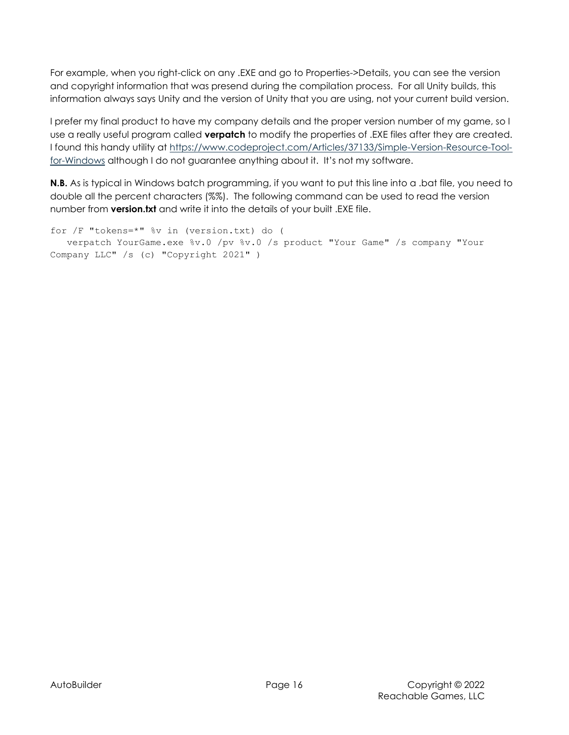For example, when you right-click on any .EXE and go to Properties->Details, you can see the version and copyright information that was presend during the compilation process. For all Unity builds, this information always says Unity and the version of Unity that you are using, not your current build version.

I prefer my final product to have my company details and the proper version number of my game, so I use a really useful program called **verpatch** to modify the properties of .EXE files after they are created. I found this handy utility at https://www.codeproject.com/Articles/37133/Simple-Version-Resource-Toolfor-Windows although I do not guarantee anything about it. It's not my software.

N.B. As is typical in Windows batch programming, if you want to put this line into a .bat file, you need to double all the percent characters (%%). The following command can be used to read the version number from version.txt and write it into the details of your built .EXE file.

for /F "tokens=\*" %v in (version.txt) do ( verpatch YourGame.exe %v.0 /pv %v.0 /s product "Your Game" /s company "Your Company LLC" /s (c) "Copyright 2021" )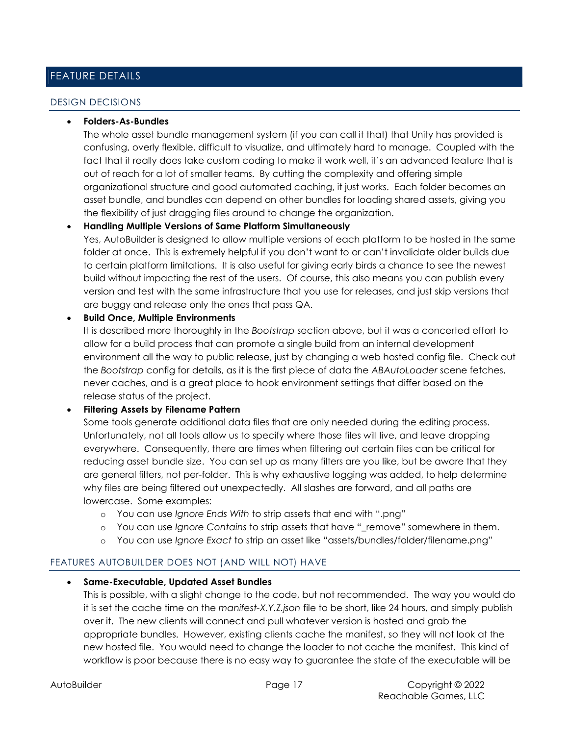## FEATURE DETAILS

#### DESIGN DECISIONS

#### Folders-As-Bundles

The whole asset bundle management system (if you can call it that) that Unity has provided is confusing, overly flexible, difficult to visualize, and ultimately hard to manage. Coupled with the fact that it really does take custom coding to make it work well, it's an advanced feature that is out of reach for a lot of smaller teams. By cutting the complexity and offering simple organizational structure and good automated caching, it just works. Each folder becomes an asset bundle, and bundles can depend on other bundles for loading shared assets, giving you the flexibility of just dragging files around to change the organization.

### Handling Multiple Versions of Same Platform Simultaneously

Yes, AutoBuilder is designed to allow multiple versions of each platform to be hosted in the same folder at once. This is extremely helpful if you don't want to or can't invalidate older builds due to certain platform limitations. It is also useful for giving early birds a chance to see the newest build without impacting the rest of the users. Of course, this also means you can publish every version and test with the same infrastructure that you use for releases, and just skip versions that are buggy and release only the ones that pass QA.

#### Build Once, Multiple Environments

It is described more thoroughly in the Bootstrap section above, but it was a concerted effort to allow for a build process that can promote a single build from an internal development environment all the way to public release, just by changing a web hosted config file. Check out the Bootstrap config for details, as it is the first piece of data the ABAutoLoader scene fetches, never caches, and is a great place to hook environment settings that differ based on the release status of the project.

#### Filtering Assets by Filename Pattern

Some tools generate additional data files that are only needed during the editing process. Unfortunately, not all tools allow us to specify where those files will live, and leave dropping everywhere. Consequently, there are times when filtering out certain files can be critical for reducing asset bundle size. You can set up as many filters are you like, but be aware that they are general filters, not per-folder. This is why exhaustive logging was added, to help determine why files are being filtered out unexpectedly. All slashes are forward, and all paths are lowercase. Some examples:

- o You can use Ignore Ends With to strip assets that end with ".png"
- o You can use Ignore Contains to strip assets that have " remove" somewhere in them.
- o You can use Ignore Exact to strip an asset like "assets/bundles/folder/filename.png"

### FEATURES AUTOBUILDER DOES NOT (AND WILL NOT) HAVE

#### Same-Executable, Updated Asset Bundles

This is possible, with a slight change to the code, but not recommended. The way you would do it is set the cache time on the manifest-X.Y.Z.json file to be short, like 24 hours, and simply publish over it. The new clients will connect and pull whatever version is hosted and grab the appropriate bundles. However, existing clients cache the manifest, so they will not look at the new hosted file. You would need to change the loader to not cache the manifest. This kind of workflow is poor because there is no easy way to guarantee the state of the executable will be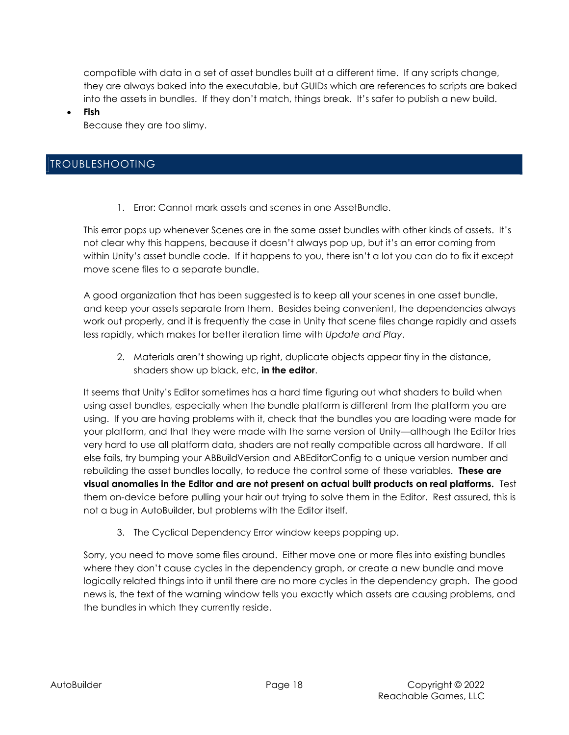compatible with data in a set of asset bundles built at a different time. If any scripts change, they are always baked into the executable, but GUIDs which are references to scripts are baked into the assets in bundles. If they don't match, things break. It's safer to publish a new build.

Fish

Because they are too slimy.

## TROUBLESHOOTING

1. Error: Cannot mark assets and scenes in one AssetBundle.

This error pops up whenever Scenes are in the same asset bundles with other kinds of assets. It's not clear why this happens, because it doesn't always pop up, but it's an error coming from within Unity's asset bundle code. If it happens to you, there isn't a lot you can do to fix it except move scene files to a separate bundle.

A good organization that has been suggested is to keep all your scenes in one asset bundle, and keep your assets separate from them. Besides being convenient, the dependencies always work out properly, and it is frequently the case in Unity that scene files change rapidly and assets less rapidly, which makes for better iteration time with Update and Play.

2. Materials aren't showing up right, duplicate objects appear tiny in the distance, shaders show up black, etc, in the editor.

It seems that Unity's Editor sometimes has a hard time figuring out what shaders to build when using asset bundles, especially when the bundle platform is different from the platform you are using. If you are having problems with it, check that the bundles you are loading were made for your platform, and that they were made with the same version of Unity—although the Editor tries very hard to use all platform data, shaders are not really compatible across all hardware. If all else fails, try bumping your ABBuildVersion and ABEditorConfig to a unique version number and rebuilding the asset bundles locally, to reduce the control some of these variables. These are visual anomalies in the Editor and are not present on actual built products on real platforms. Test them on-device before pulling your hair out trying to solve them in the Editor. Rest assured, this is not a bug in AutoBuilder, but problems with the Editor itself.

3. The Cyclical Dependency Error window keeps popping up.

Sorry, you need to move some files around. Either move one or more files into existing bundles where they don't cause cycles in the dependency graph, or create a new bundle and move logically related things into it until there are no more cycles in the dependency graph. The good news is, the text of the warning window tells you exactly which assets are causing problems, and the bundles in which they currently reside.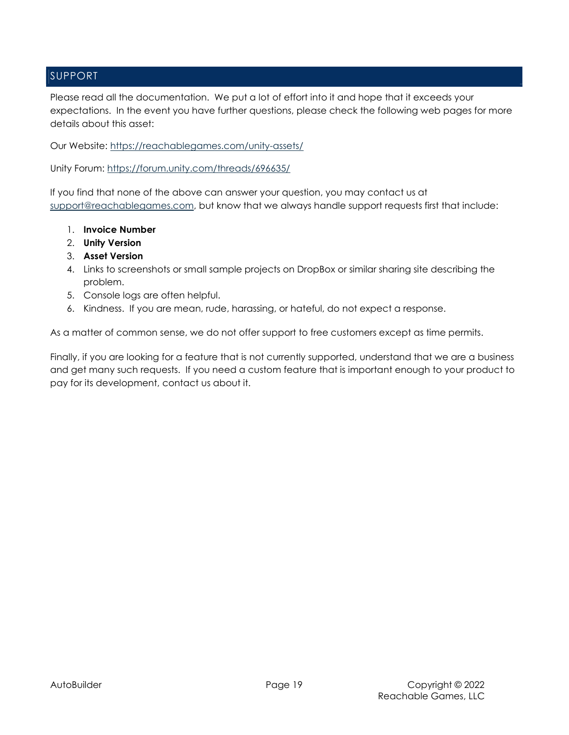## SUPPORT

Please read all the documentation. We put a lot of effort into it and hope that it exceeds your expectations. In the event you have further questions, please check the following web pages for more details about this asset:

Our Website: https://reachablegames.com/unity-assets/

Unity Forum: https://forum.unity.com/threads/696635/

If you find that none of the above can answer your question, you may contact us at support@reachablegames.com, but know that we always handle support requests first that include:

- 1. Invoice Number
- 2. Unity Version
- 3. Asset Version
- 4. Links to screenshots or small sample projects on DropBox or similar sharing site describing the problem.
- 5. Console logs are often helpful.
- 6. Kindness. If you are mean, rude, harassing, or hateful, do not expect a response.

As a matter of common sense, we do not offer support to free customers except as time permits.

Finally, if you are looking for a feature that is not currently supported, understand that we are a business and get many such requests. If you need a custom feature that is important enough to your product to pay for its development, contact us about it.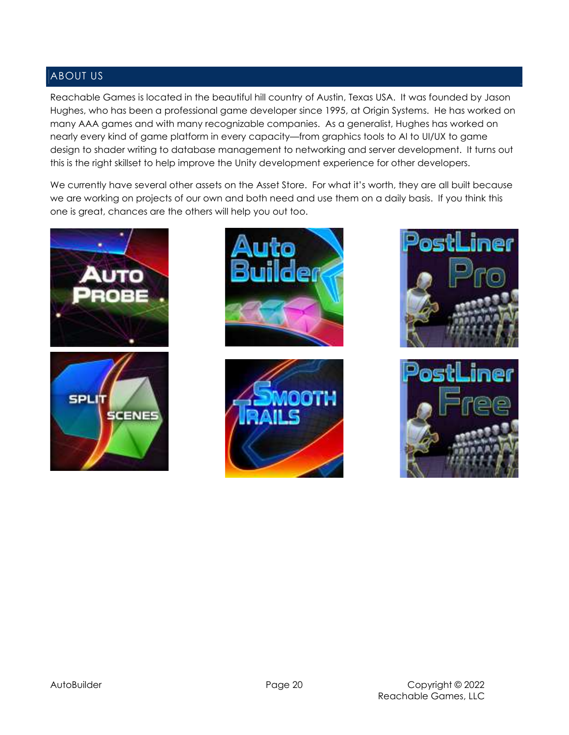## ABOUT US

Reachable Games is located in the beautiful hill country of Austin, Texas USA. It was founded by Jason Hughes, who has been a professional game developer since 1995, at Origin Systems. He has worked on many AAA games and with many recognizable companies. As a generalist, Hughes has worked on nearly every kind of game platform in every capacity—from graphics tools to AI to UI/UX to game design to shader writing to database management to networking and server development. It turns out this is the right skillset to help improve the Unity development experience for other developers.

We currently have several other assets on the Asset Store. For what it's worth, they are all built because we are working on projects of our own and both need and use them on a daily basis. If you think this one is great, chances are the others will help you out too.











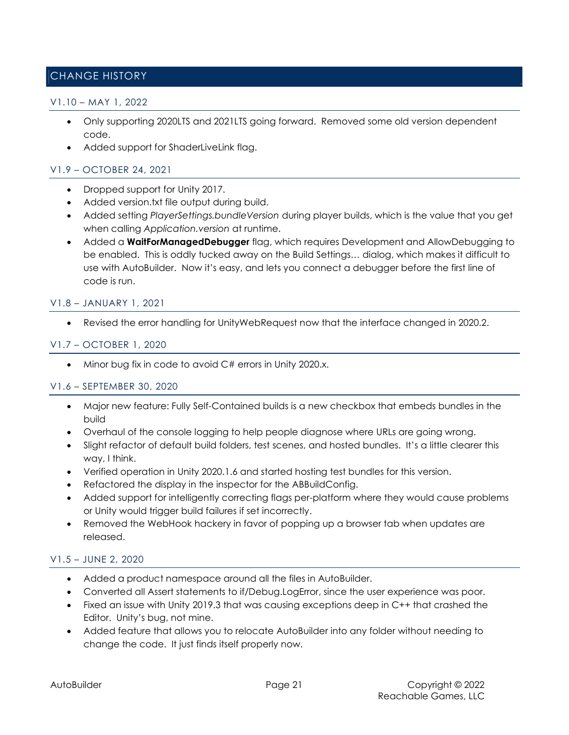## CHANGE HISTORY

#### V1.10 – MAY 1, 2022

- Only supporting 2020LTS and 2021LTS going forward. Removed some old version dependent code.
- Added support for ShaderLiveLink flag.

### V1.9 – OCTOBER 24, 2021

- Dropped support for Unity 2017.
- Added version.txt file output during build.
- Added setting PlayerSettings.bundleVersion during player builds, which is the value that you get when calling Application.version at runtime.
- Added a **WaitForManagedDebugger** flag, which requires Development and AllowDebugging to be enabled. This is oddly tucked away on the Build Settings… dialog, which makes it difficult to use with AutoBuilder. Now it's easy, and lets you connect a debugger before the first line of code is run.

#### V1.8 – JANUARY 1, 2021

Revised the error handling for UnityWebRequest now that the interface changed in 2020.2.

#### V1.7 – OCTOBER 1, 2020

Minor bug fix in code to avoid C# errors in Unity 2020.x.

#### V1.6 – SEPTEMBER 30, 2020

- Major new feature: Fully Self-Contained builds is a new checkbox that embeds bundles in the build
- Overhaul of the console logging to help people diagnose where URLs are going wrong.
- Slight refactor of default build folders, test scenes, and hosted bundles. It's a little clearer this way, I think.
- Verified operation in Unity 2020.1.6 and started hosting test bundles for this version.
- Refactored the display in the inspector for the ABBuildConfig.
- Added support for intelligently correcting flags per-platform where they would cause problems or Unity would trigger build failures if set incorrectly.
- Removed the WebHook hackery in favor of popping up a browser tab when updates are released.

### V1.5 – JUNE 2, 2020

- Added a product namespace around all the files in AutoBuilder.
- Converted all Assert statements to if/Debug.LogError, since the user experience was poor.
- Fixed an issue with Unity 2019.3 that was causing exceptions deep in C++ that crashed the Editor. Unity's bug, not mine.
- Added feature that allows you to relocate AutoBuilder into any folder without needing to change the code. It just finds itself properly now.